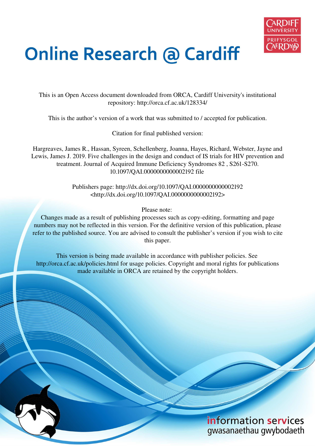

# **Online Research @ Cardiff**

This is an Open Access document downloaded from ORCA, Cardiff University's institutional repository: http://orca.cf.ac.uk/128334/

This is the author's version of a work that was submitted to / accepted for publication.

Citation for final published version:

Hargreaves, James R., Hassan, Syreen, Schellenberg, Joanna, Hayes, Richard, Webster, Jayne and Lewis, James J. 2019. Five challenges in the design and conduct of IS trials for HIV prevention and treatment. Journal of Acquired Immune Deficiency Syndromes 82 , S261-S270. 10.1097/QAI.0000000000002192 file

> Publishers page: http://dx.doi.org/10.1097/QAI.0000000000002192 <http://dx.doi.org/10.1097/QAI.0000000000002192>

> > Please note:

Changes made as a result of publishing processes such as copy-editing, formatting and page numbers may not be reflected in this version. For the definitive version of this publication, please refer to the published source. You are advised to consult the publisher's version if you wish to cite this paper.

This version is being made available in accordance with publisher policies. See http://orca.cf.ac.uk/policies.html for usage policies. Copyright and moral rights for publications made available in ORCA are retained by the copyright holders.

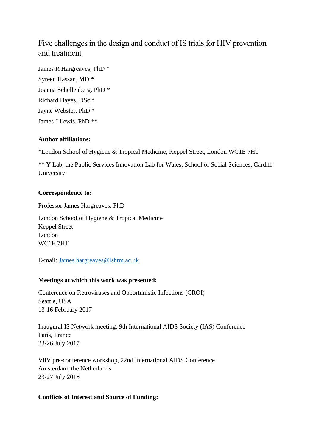# Five challenges in the design and conduct of IS trials for HIV prevention and treatment

James R Hargreaves, PhD \* Syreen Hassan, MD \* Joanna Schellenberg, PhD \* Richard Hayes, DSc \* Jayne Webster, PhD \* James J Lewis, PhD \*\*

## **Author affiliations:**

\*London School of Hygiene & Tropical Medicine, Keppel Street, London WC1E 7HT

\*\* Y Lab, the Public Services Innovation Lab for Wales, School of Social Sciences, Cardiff University

#### **Correspondence to:**

Professor James Hargreaves, PhD

London School of Hygiene & Tropical Medicine Keppel Street London WC1E 7HT

E-mail: [James.hargreaves@lshtm.ac.uk](mailto:James.hargreaves@lshtm.ac.uk)

## **Meetings at which this work was presented:**

Conference on Retroviruses and Opportunistic Infections (CROI) Seattle, USA 13-16 February 2017

Inaugural IS Network meeting, 9th International AIDS Society (IAS) Conference Paris, France 23-26 July 2017

ViiV pre-conference workshop, 22nd International AIDS Conference Amsterdam, the Netherlands 23-27 July 2018

#### **Conflicts of Interest and Source of Funding:**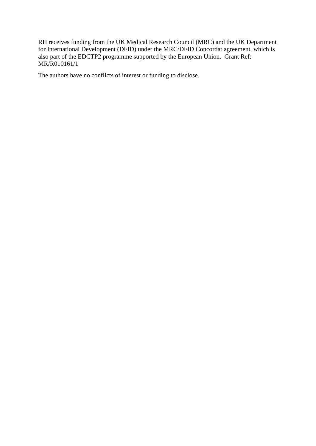RH receives funding from the UK Medical Research Council (MRC) and the UK Department for International Development (DFID) under the MRC/DFID Concordat agreement, which is also part of the EDCTP2 programme supported by the European Union. Grant Ref: MR/R010161/1

The authors have no conflicts of interest or funding to disclose.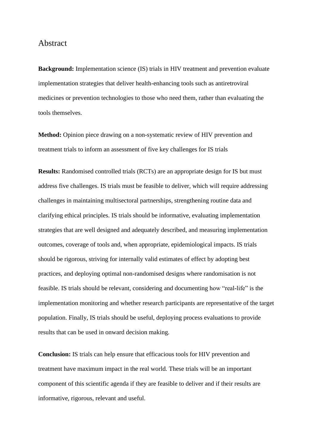## Abstract

**Background:** Implementation science (IS) trials in HIV treatment and prevention evaluate implementation strategies that deliver health-enhancing tools such as antiretroviral medicines or prevention technologies to those who need them, rather than evaluating the tools themselves.

**Method:** Opinion piece drawing on a non-systematic review of HIV prevention and treatment trials to inform an assessment of five key challenges for IS trials

**Results:** Randomised controlled trials (RCTs) are an appropriate design for IS but must address five challenges. IS trials must be feasible to deliver, which will require addressing challenges in maintaining multisectoral partnerships, strengthening routine data and clarifying ethical principles. IS trials should be informative, evaluating implementation strategies that are well designed and adequately described, and measuring implementation outcomes, coverage of tools and, when appropriate, epidemiological impacts. IS trials should be rigorous, striving for internally valid estimates of effect by adopting best practices, and deploying optimal non-randomised designs where randomisation is not feasible. IS trials should be relevant, considering and documenting how "real-life" is the implementation monitoring and whether research participants are representative of the target population. Finally, IS trials should be useful, deploying process evaluations to provide results that can be used in onward decision making.

**Conclusion:** IS trials can help ensure that efficacious tools for HIV prevention and treatment have maximum impact in the real world. These trials will be an important component of this scientific agenda if they are feasible to deliver and if their results are informative, rigorous, relevant and useful.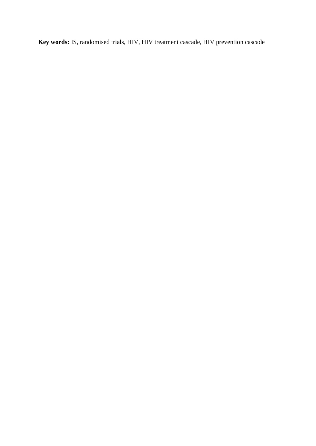**Key words:** IS, randomised trials, HIV, HIV treatment cascade, HIV prevention cascade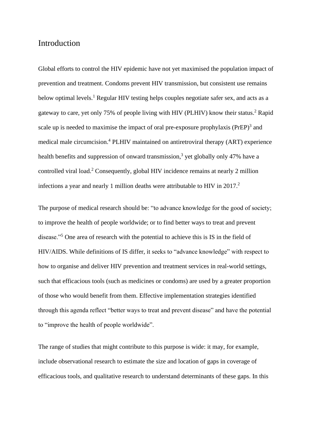## Introduction

Global efforts to control the HIV epidemic have not yet maximised the population impact of prevention and treatment. Condoms prevent HIV transmission, but consistent use remains below optimal levels.<sup>1</sup> Regular HIV testing helps couples negotiate safer sex, and acts as a gateway to care, yet only 75% of people living with HIV (PLHIV) know their status.<sup>2</sup> Rapid scale up is needed to maximise the impact of oral pre-exposure prophylaxis  $(PrEP)^3$  and medical male circumcision.<sup>4</sup> PLHIV maintained on antiretroviral therapy (ART) experience health benefits and suppression of onward transmission,<sup>3</sup> yet globally only 47% have a controlled viral load.<sup>2</sup> Consequently, global HIV incidence remains at nearly 2 million infections a year and nearly 1 million deaths were attributable to HIV in 2017.<sup>2</sup>

The purpose of medical research should be: "to advance knowledge for the good of society; to improve the health of people worldwide; or to find better ways to treat and prevent disease."<sup>5</sup> One area of research with the potential to achieve this is IS in the field of HIV/AIDS. While definitions of IS differ, it seeks to "advance knowledge" with respect to how to organise and deliver HIV prevention and treatment services in real-world settings, such that efficacious tools (such as medicines or condoms) are used by a greater proportion of those who would benefit from them. Effective implementation strategies identified through this agenda reflect "better ways to treat and prevent disease" and have the potential to "improve the health of people worldwide".

The range of studies that might contribute to this purpose is wide: it may, for example, include observational research to estimate the size and location of gaps in coverage of efficacious tools, and qualitative research to understand determinants of these gaps. In this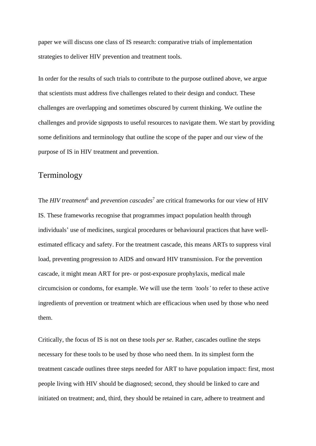paper we will discuss one class of IS research: comparative trials of implementation strategies to deliver HIV prevention and treatment tools.

In order for the results of such trials to contribute to the purpose outlined above, we argue that scientists must address five challenges related to their design and conduct. These challenges are overlapping and sometimes obscured by current thinking. We outline the challenges and provide signposts to useful resources to navigate them. We start by providing some definitions and terminology that outline the scope of the paper and our view of the purpose of IS in HIV treatment and prevention.

# Terminology

The *HIV treatment*<sup>6</sup> and *prevention cascades*<sup>7</sup> are critical frameworks for our view of HIV IS. These frameworks recognise that programmes impact population health through individuals' use of medicines, surgical procedures or behavioural practices that have wellestimated efficacy and safety. For the treatment cascade, this means ARTs to suppress viral load, preventing progression to AIDS and onward HIV transmission. For the prevention cascade, it might mean ART for pre- or post-exposure prophylaxis, medical male circumcision or condoms, for example. We will use the term *'tools'* to refer to these active ingredients of prevention or treatment which are efficacious when used by those who need them.

Critically, the focus of IS is not on these tools *per se*. Rather, cascades outline the steps necessary for these tools to be used by those who need them. In its simplest form the treatment cascade outlines three steps needed for ART to have population impact: first, most people living with HIV should be diagnosed; second, they should be linked to care and initiated on treatment; and, third, they should be retained in care, adhere to treatment and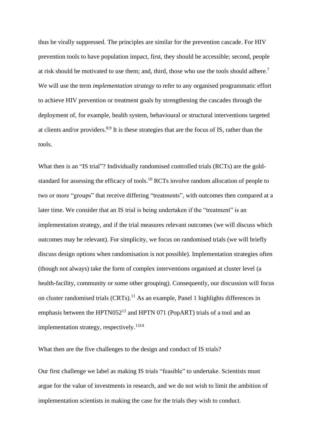thus be virally suppressed. The principles are similar for the prevention cascade. For HIV prevention tools to have population impact, first, they should be accessible; second, people at risk should be motivated to use them; and, third, those who use the tools should adhere.<sup>7</sup> We will use the term *implementation strategy* to refer to any organised programmatic effort to achieve HIV prevention or treatment goals by strengthening the cascades through the deployment of, for example, health system, behavioural or structural interventions targeted at clients and/or providers.<sup>8,9</sup> It is these strategies that are the focus of IS, rather than the tools.

What then is an "IS trial"? Individually randomised controlled trials (RCTs) are the goldstandard for assessing the efficacy of tools.<sup>10</sup> RCTs involve random allocation of people to two or more "groups" that receive differing "treatments", with outcomes then compared at a later time. We consider that an IS trial is being undertaken if the "treatment" is an implementation strategy, and if the trial measures relevant outcomes (we will discuss which outcomes may be relevant). For simplicity, we focus on randomised trials (we will briefly discuss design options when randomisation is not possible). Implementation strategies often (though not always) take the form of complex interventions organised at cluster level (a health-facility, community or some other grouping). Consequently, our discussion will focus on cluster randomised trials  $(CRTs)$ .<sup>11</sup> As an example, Panel 1 highlights differences in emphasis between the HPTN052<sup>12</sup> and HPTN 071 (PopART) trials of a tool and an implementation strategy, respectively.<sup>1314</sup>

What then are the five challenges to the design and conduct of IS trials?

Our first challenge we label as making IS trials "feasible" to undertake. Scientists must argue for the value of investments in research, and we do not wish to limit the ambition of implementation scientists in making the case for the trials they wish to conduct.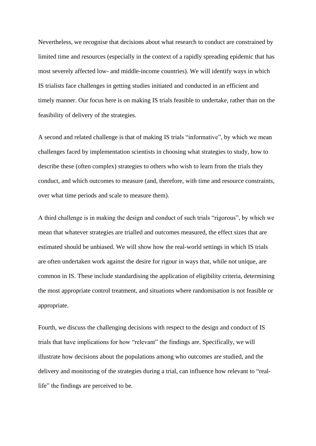Nevertheless, we recognise that decisions about what research to conduct are constrained by limited time and resources (especially in the context of a rapidly spreading epidemic that has most severely affected low- and middle-income countries). We will identify ways in which IS trialists face challenges in getting studies initiated and conducted in an efficient and timely manner. Our focus here is on making IS trials feasible to undertake, rather than on the feasibility of delivery of the strategies.

A second and related challenge is that of making IS trials "informative", by which we mean challenges faced by implementation scientists in choosing what strategies to study, how to describe these (often complex) strategies to others who wish to learn from the trials they conduct, and which outcomes to measure (and, therefore, with time and resource constraints, over what time periods and scale to measure them).

A third challenge is in making the design and conduct of such trials "rigorous", by which we mean that whatever strategies are trialled and outcomes measured, the effect sizes that are estimated should be unbiased. We will show how the real-world settings in which IS trials are often undertaken work against the desire for rigour in ways that, while not unique, are common in IS. These include standardising the application of eligibility criteria, determining the most appropriate control treatment, and situations where randomisation is not feasible or appropriate.

Fourth, we discuss the challenging decisions with respect to the design and conduct of IS trials that have implications for how "relevant" the findings are. Specifically, we will illustrate how decisions about the populations among who outcomes are studied, and the delivery and monitoring of the strategies during a trial, can influence how relevant to "reallife" the findings are perceived to be.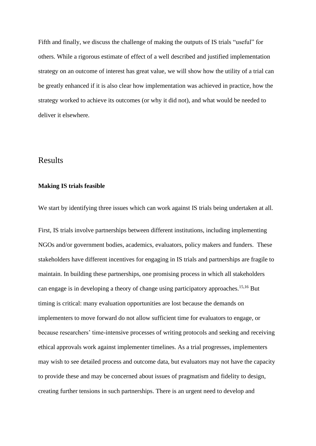Fifth and finally, we discuss the challenge of making the outputs of IS trials "useful" for others. While a rigorous estimate of effect of a well described and justified implementation strategy on an outcome of interest has great value, we will show how the utility of a trial can be greatly enhanced if it is also clear how implementation was achieved in practice, how the strategy worked to achieve its outcomes (or why it did not), and what would be needed to deliver it elsewhere.

# Results

#### **Making IS trials feasible**

We start by identifying three issues which can work against IS trials being undertaken at all.

First, IS trials involve partnerships between different institutions, including implementing NGOs and/or government bodies, academics, evaluators, policy makers and funders. These stakeholders have different incentives for engaging in IS trials and partnerships are fragile to maintain. In building these partnerships, one promising process in which all stakeholders can engage is in developing a theory of change using participatory approaches.<sup>15,16</sup> But timing is critical: many evaluation opportunities are lost because the demands on implementers to move forward do not allow sufficient time for evaluators to engage, or because researchers' time-intensive processes of writing protocols and seeking and receiving ethical approvals work against implementer timelines. As a trial progresses, implementers may wish to see detailed process and outcome data, but evaluators may not have the capacity to provide these and may be concerned about issues of pragmatism and fidelity to design, creating further tensions in such partnerships. There is an urgent need to develop and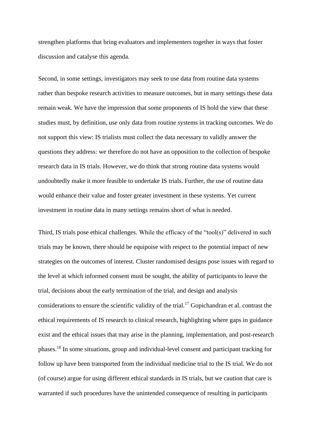strengthen platforms that bring evaluators and implementers together in ways that foster discussion and catalyse this agenda.

Second, in some settings, investigators may seek to use data from routine data systems rather than bespoke research activities to measure outcomes, but in many settings these data remain weak. We have the impression that some proponents of IS hold the view that these studies must, by definition, use only data from routine systems in tracking outcomes. We do not support this view: IS trialists must collect the data necessary to validly answer the questions they address: we therefore do not have an opposition to the collection of bespoke research data in IS trials. However, we do think that strong routine data systems would undoubtedly make it more feasible to undertake IS trials. Further, the use of routine data would enhance their value and foster greater investment in these systems. Yet current investment in routine data in many settings remains short of what is needed.

Third, IS trials pose ethical challenges. While the efficacy of the "tool(s)" delivered in such trials may be known, there should be equipoise with respect to the potential impact of new strategies on the outcomes of interest. Cluster randomised designs pose issues with regard to the level at which informed consent must be sought, the ability of participants to leave the trial, decisions about the early termination of the trial, and design and analysis considerations to ensure the scientific validity of the trial.<sup>17</sup> Gopichandran et al. contrast the ethical requirements of IS research to clinical research, highlighting where gaps in guidance exist and the ethical issues that may arise in the planning, implementation, and post-research phases.<sup>18</sup> In some situations, group and individual-level consent and participant tracking for follow up have been transported from the individual medicine trial to the IS trial. We do not (of course) argue for using different ethical standards in IS trials, but we caution that care is warranted if such procedures have the unintended consequence of resulting in participants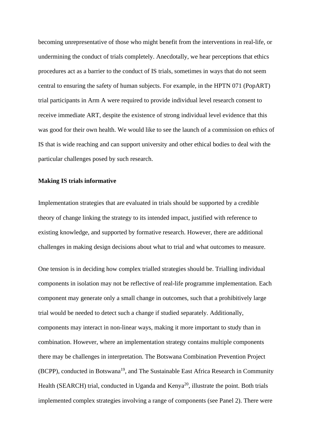becoming unrepresentative of those who might benefit from the interventions in real-life, or undermining the conduct of trials completely. Anecdotally, we hear perceptions that ethics procedures act as a barrier to the conduct of IS trials, sometimes in ways that do not seem central to ensuring the safety of human subjects. For example, in the HPTN 071 (PopART) trial participants in Arm A were required to provide individual level research consent to receive immediate ART, despite the existence of strong individual level evidence that this was good for their own health. We would like to see the launch of a commission on ethics of IS that is wide reaching and can support university and other ethical bodies to deal with the particular challenges posed by such research.

#### **Making IS trials informative**

Implementation strategies that are evaluated in trials should be supported by a credible theory of change linking the strategy to its intended impact, justified with reference to existing knowledge, and supported by formative research. However, there are additional challenges in making design decisions about what to trial and what outcomes to measure.

One tension is in deciding how complex trialled strategies should be. Trialling individual components in isolation may not be reflective of real-life programme implementation. Each component may generate only a small change in outcomes, such that a prohibitively large trial would be needed to detect such a change if studied separately. Additionally, components may interact in non-linear ways, making it more important to study than in combination. However, where an implementation strategy contains multiple components there may be challenges in interpretation. The Botswana Combination Prevention Project (BCPP), conducted in Botswana<sup>19</sup>, and The Sustainable East Africa Research in Community Health (SEARCH) trial, conducted in Uganda and Kenya<sup>20</sup>, illustrate the point. Both trials implemented complex strategies involving a range of components (see Panel 2). There were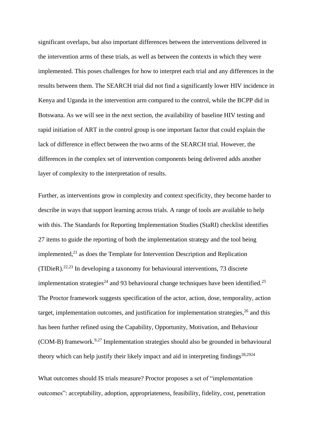significant overlaps, but also important differences between the interventions delivered in the intervention arms of these trials, as well as between the contexts in which they were implemented. This poses challenges for how to interpret each trial and any differences in the results between them. The SEARCH trial did not find a significantly lower HIV incidence in Kenya and Uganda in the intervention arm compared to the control, while the BCPP did in Botswana. As we will see in the next section, the availability of baseline HIV testing and rapid initiation of ART in the control group is one important factor that could explain the lack of difference in effect between the two arms of the SEARCH trial. However, the differences in the complex set of intervention components being delivered adds another layer of complexity to the interpretation of results.

Further, as interventions grow in complexity and context specificity, they become harder to describe in ways that support learning across trials. A range of tools are available to help with this. The Standards for Reporting Implementation Studies (StaRI) checklist identifies 27 items to guide the reporting of both the implementation strategy and the tool being implemented, $^{21}$  as does the Template for Intervention Description and Replication (TIDieR).<sup>22,23</sup> In developing a taxonomy for behavioural interventions, 73 discrete implementation strategies<sup>24</sup> and 93 behavioural change techniques have been identified.<sup>25</sup> The Proctor framework suggests specification of the actor, action, dose, temporality, action target, implementation outcomes, and justification for implementation strategies,  $26$  and this has been further refined using the Capability, Opportunity, Motivation, and Behaviour (COM-B) framework.<sup>9,27</sup> Implementation strategies should also be grounded in behavioural theory which can help justify their likely impact and aid in interpreting findings $28,2924$ 

What outcomes should IS trials measure? Proctor proposes a set of "implementation outcomes": acceptability, adoption, appropriateness, feasibility, fidelity, cost, penetration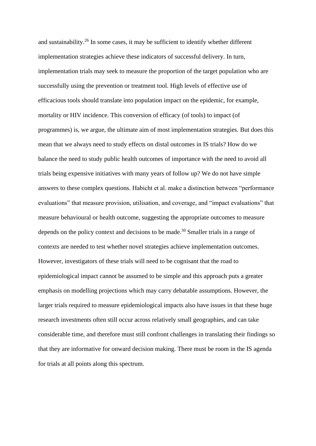and sustainability.<sup>26</sup> In some cases, it may be sufficient to identify whether different implementation strategies achieve these indicators of successful delivery. In turn, implementation trials may seek to measure the proportion of the target population who are successfully using the prevention or treatment tool. High levels of effective use of efficacious tools should translate into population impact on the epidemic, for example, mortality or HIV incidence. This conversion of efficacy (of tools) to impact (of programmes) is, we argue, the ultimate aim of most implementation strategies. But does this mean that we always need to study effects on distal outcomes in IS trials? How do we balance the need to study public health outcomes of importance with the need to avoid all trials being expensive initiatives with many years of follow up? We do not have simple answers to these complex questions. Habicht et al. make a distinction between "performance evaluations" that measure provision, utilisation, and coverage, and "impact evaluations" that measure behavioural or health outcome, suggesting the appropriate outcomes to measure depends on the policy context and decisions to be made.<sup>30</sup> Smaller trials in a range of contexts are needed to test whether novel strategies achieve implementation outcomes. However, investigators of these trials will need to be cognisant that the road to epidemiological impact cannot be assumed to be simple and this approach puts a greater emphasis on modelling projections which may carry debatable assumptions. However, the larger trials required to measure epidemiological impacts also have issues in that these huge research investments often still occur across relatively small geographies, and can take considerable time, and therefore must still confront challenges in translating their findings so that they are informative for onward decision making. There must be room in the IS agenda for trials at all points along this spectrum.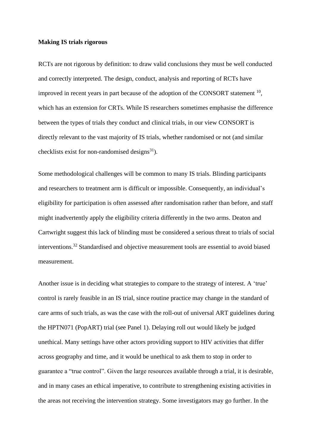#### **Making IS trials rigorous**

RCTs are not rigorous by definition: to draw valid conclusions they must be well conducted and correctly interpreted. The design, conduct, analysis and reporting of RCTs have improved in recent years in part because of the adoption of the CONSORT statement  $10$ , which has an extension for CRTs. While IS researchers sometimes emphasise the difference between the types of trials they conduct and clinical trials, in our view CONSORT is directly relevant to the vast majority of IS trials, whether randomised or not (and similar checklists exist for non-randomised designs $^{31}$ ).

Some methodological challenges will be common to many IS trials. Blinding participants and researchers to treatment arm is difficult or impossible. Consequently, an individual's eligibility for participation is often assessed after randomisation rather than before, and staff might inadvertently apply the eligibility criteria differently in the two arms. Deaton and Cartwright suggest this lack of blinding must be considered a serious threat to trials of social interventions.<sup>32</sup> Standardised and objective measurement tools are essential to avoid biased measurement.

Another issue is in deciding what strategies to compare to the strategy of interest. A 'true' control is rarely feasible in an IS trial, since routine practice may change in the standard of care arms of such trials, as was the case with the roll-out of universal ART guidelines during the HPTN071 (PopART) trial (see Panel 1). Delaying roll out would likely be judged unethical. Many settings have other actors providing support to HIV activities that differ across geography and time, and it would be unethical to ask them to stop in order to guarantee a "true control". Given the large resources available through a trial, it is desirable, and in many cases an ethical imperative, to contribute to strengthening existing activities in the areas not receiving the intervention strategy. Some investigators may go further. In the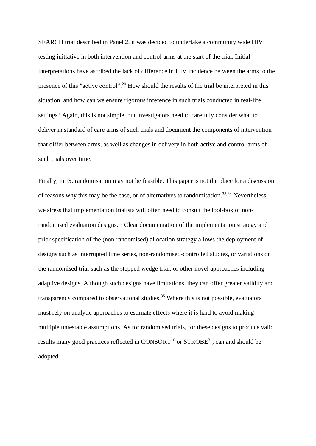SEARCH trial described in Panel 2, it was decided to undertake a community wide HIV testing initiative in both intervention and control arms at the start of the trial. Initial interpretations have ascribed the lack of difference in HIV incidence between the arms to the presence of this "active control".<sup>20</sup> How should the results of the trial be interpreted in this situation, and how can we ensure rigorous inference in such trials conducted in real-life settings? Again, this is not simple, but investigators need to carefully consider what to deliver in standard of care arms of such trials and document the components of intervention that differ between arms, as well as changes in delivery in both active and control arms of such trials over time.

Finally, in IS, randomisation may not be feasible. This paper is not the place for a discussion of reasons why this may be the case, or of alternatives to randomisation.<sup>33,34</sup> Nevertheless, we stress that implementation trialists will often need to consult the tool-box of nonrandomised evaluation designs.<sup>35</sup> Clear documentation of the implementation strategy and prior specification of the (non-randomised) allocation strategy allows the deployment of designs such as interrupted time series, non-randomised-controlled studies, or variations on the randomised trial such as the stepped wedge trial, or other novel approaches including adaptive designs. Although such designs have limitations, they can offer greater validity and transparency compared to observational studies.<sup>35</sup> Where this is not possible, evaluators must rely on analytic approaches to estimate effects where it is hard to avoid making multiple untestable assumptions. As for randomised trials, for these designs to produce valid results many good practices reflected in  $CONSORT<sup>10</sup>$  or  $STROBE<sup>31</sup>$ , can and should be adopted.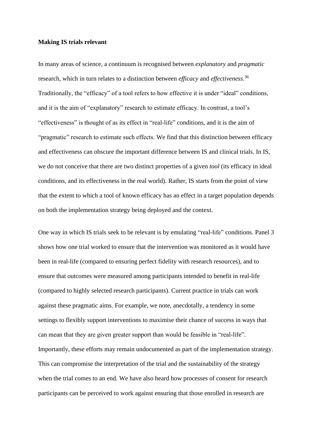#### **Making IS trials relevant**

In many areas of science, a continuum is recognised between *explanatory* and *pragmatic* research, which in turn relates to a distinction between *efficacy* and *effectiveness.*<sup>36</sup> Traditionally, the "efficacy" of a tool refers to how effective it is under "ideal" conditions, and it is the aim of "explanatory" research to estimate efficacy. In contrast, a tool's "effectiveness" is thought of as its effect in "real-life" conditions, and it is the aim of "pragmatic" research to estimate such effects. We find that this distinction between efficacy and effectiveness can obscure the important difference between IS and clinical trials. In IS, we do not conceive that there are two distinct properties of a given *tool* (its efficacy in ideal conditions, and its effectiveness in the real world). Rather, IS starts from the point of view that the extent to which a tool of known efficacy has an effect in a target population depends on both the implementation strategy being deployed and the context.

One way in which IS trials seek to be relevant is by emulating "real-life" conditions. Panel 3 shows how one trial worked to ensure that the intervention was monitored as it would have been in real-life (compared to ensuring perfect fidelity with research resources), and to ensure that outcomes were measured among participants intended to benefit in real-life (compared to highly selected research participants). Current practice in trials can work against these pragmatic aims. For example, we note, anecdotally, a tendency in some settings to flexibly support interventions to maximise their chance of success in ways that can mean that they are given greater support than would be feasible in "real-life". Importantly, these efforts may remain undocumented as part of the implementation strategy. This can compromise the interpretation of the trial and the sustainability of the strategy when the trial comes to an end. We have also heard how processes of consent for research participants can be perceived to work against ensuring that those enrolled in research are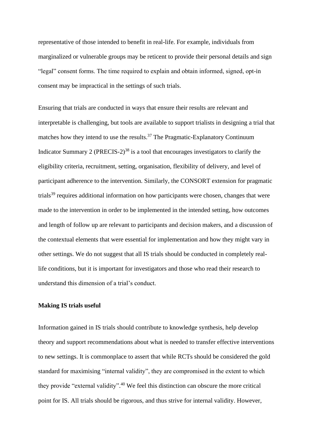representative of those intended to benefit in real-life. For example, individuals from marginalized or vulnerable groups may be reticent to provide their personal details and sign "legal" consent forms. The time required to explain and obtain informed, signed, opt-in consent may be impractical in the settings of such trials.

Ensuring that trials are conducted in ways that ensure their results are relevant and interpretable is challenging, but tools are available to support trialists in designing a trial that matches how they intend to use the results. $37$  The Pragmatic-Explanatory Continuum Indicator Summary 2 (PRECIS-2)<sup>38</sup> is a tool that encourages investigators to clarify the eligibility criteria, recruitment, setting, organisation, flexibility of delivery, and level of participant adherence to the intervention. Similarly, the CONSORT extension for pragmatic trials<sup>39</sup> requires additional information on how participants were chosen, changes that were made to the intervention in order to be implemented in the intended setting, how outcomes and length of follow up are relevant to participants and decision makers, and a discussion of the contextual elements that were essential for implementation and how they might vary in other settings. We do not suggest that all IS trials should be conducted in completely reallife conditions, but it is important for investigators and those who read their research to understand this dimension of a trial's conduct.

#### **Making IS trials useful**

Information gained in IS trials should contribute to knowledge synthesis, help develop theory and support recommendations about what is needed to transfer effective interventions to new settings. It is commonplace to assert that while RCTs should be considered the gold standard for maximising "internal validity", they are compromised in the extent to which they provide "external validity". <sup>40</sup> We feel this distinction can obscure the more critical point for IS. All trials should be rigorous, and thus strive for internal validity. However,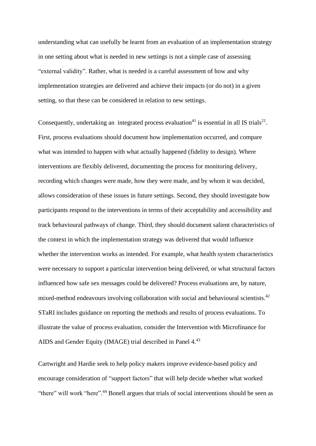understanding what can usefully be learnt from an evaluation of an implementation strategy in one setting about what is needed in new settings is not a simple case of assessing "external validity". Rather, what is needed is a careful assessment of how and why implementation strategies are delivered and achieve their impacts (or do not) in a given setting, so that these can be considered in relation to new settings.

Consequently, undertaking an integrated process evaluation<sup>41</sup> is essential in all IS trials<sup>21</sup>. First, process evaluations should document how implementation occurred, and compare what was intended to happen with what actually happened (fidelity to design). Where interventions are flexibly delivered, documenting the process for monitoring delivery, recording which changes were made, how they were made, and by whom it was decided, allows consideration of these issues in future settings. Second, they should investigate how participants respond to the interventions in terms of their acceptability and accessibility and track behavioural pathways of change. Third, they should document salient characteristics of the context in which the implementation strategy was delivered that would influence whether the intervention works as intended. For example, what health system characteristics were necessary to support a particular intervention being delivered, or what structural factors influenced how safe sex messages could be delivered? Process evaluations are, by nature, mixed-method endeavours involving collaboration with social and behavioural scientists.<sup>42</sup> STaRI includes guidance on reporting the methods and results of process evaluations. To illustrate the value of process evaluation, consider the Intervention with Microfinance for AIDS and Gender Equity (IMAGE) trial described in Panel 4.<sup>43</sup>

Cartwright and Hardie seek to help policy makers improve evidence-based policy and encourage consideration of "support factors" that will help decide whether what worked "there" will work "here".<sup>44</sup> Bonell argues that trials of social interventions should be seen as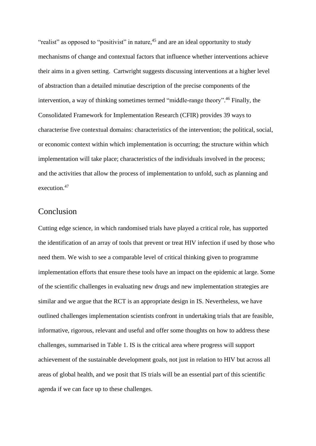"realist" as opposed to "positivist" in nature,<sup>45</sup> and are an ideal opportunity to study mechanisms of change and contextual factors that influence whether interventions achieve their aims in a given setting. Cartwright suggests discussing interventions at a higher level of abstraction than a detailed minutiae description of the precise components of the intervention, a way of thinking sometimes termed "middle-range theory". <sup>46</sup> Finally, the Consolidated Framework for Implementation Research (CFIR) provides 39 ways to characterise five contextual domains: characteristics of the intervention; the political, social, or economic context within which implementation is occurring; the structure within which implementation will take place; characteristics of the individuals involved in the process; and the activities that allow the process of implementation to unfold, such as planning and execution.<sup>47</sup>

# Conclusion

Cutting edge science, in which randomised trials have played a critical role, has supported the identification of an array of tools that prevent or treat HIV infection if used by those who need them. We wish to see a comparable level of critical thinking given to programme implementation efforts that ensure these tools have an impact on the epidemic at large. Some of the scientific challenges in evaluating new drugs and new implementation strategies are similar and we argue that the RCT is an appropriate design in IS. Nevertheless, we have outlined challenges implementation scientists confront in undertaking trials that are feasible, informative, rigorous, relevant and useful and offer some thoughts on how to address these challenges, summarised in Table 1. IS is the critical area where progress will support achievement of the sustainable development goals, not just in relation to HIV but across all areas of global health, and we posit that IS trials will be an essential part of this scientific agenda if we can face up to these challenges.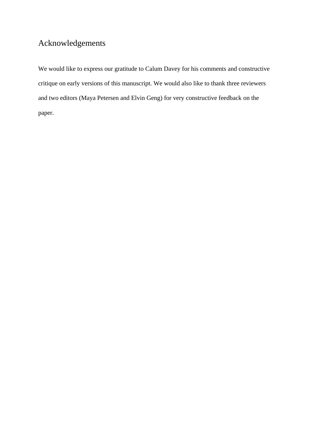# Acknowledgements

We would like to express our gratitude to Calum Davey for his comments and constructive critique on early versions of this manuscript. We would also like to thank three reviewers and two editors (Maya Petersen and Elvin Geng) for very constructive feedback on the paper.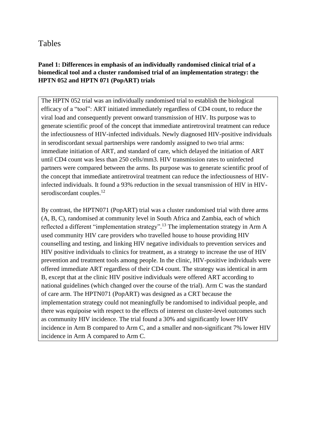# Tables

# **Panel 1: Differences in emphasis of an individually randomised clinical trial of a biomedical tool and a cluster randomised trial of an implementation strategy: the HPTN 052 and HPTN 071 (PopART) trials**

The HPTN 052 trial was an individually randomised trial to establish the biological efficacy of a "tool": ART initiated immediately regardless of CD4 count, to reduce the viral load and consequently prevent onward transmission of HIV. Its purpose was to generate scientific proof of the concept that immediate antiretroviral treatment can reduce the infectiousness of HIV-infected individuals. Newly diagnosed HIV-positive individuals in serodiscordant sexual partnerships were randomly assigned to two trial arms: immediate initiation of ART, and standard of care, which delayed the initiation of ART until CD4 count was less than 250 cells/mm3. HIV transmission rates to uninfected partners were compared between the arms. Its purpose was to generate scientific proof of the concept that immediate antiretroviral treatment can reduce the infectiousness of HIVinfected individuals. It found a 93% reduction in the sexual transmission of HIV in HIVserodiscordant couples.<sup>12</sup>

By contrast, the HPTN071 (PopART) trial was a cluster randomised trial with three arms (A, B, C), randomised at community level in South Africa and Zambia, each of which reflected a different "implementation strategy".<sup>13</sup> The implementation strategy in Arm A used community HIV care providers who travelled house to house providing HIV counselling and testing, and linking HIV negative individuals to prevention services and HIV positive individuals to clinics for treatment, as a strategy to increase the use of HIV prevention and treatment tools among people. In the clinic, HIV-positive individuals were offered immediate ART regardless of their CD4 count. The strategy was identical in arm B, except that at the clinic HIV positive individuals were offered ART according to national guidelines (which changed over the course of the trial). Arm C was the standard of care arm. The HPTN071 (PopART) was designed as a CRT because the implementation strategy could not meaningfully be randomised to individual people, and there was equipoise with respect to the effects of interest on cluster-level outcomes such as community HIV incidence. The trial found a 30% and significantly lower HIV incidence in Arm B compared to Arm C, and a smaller and non-significant 7% lower HIV incidence in Arm A compared to Arm C.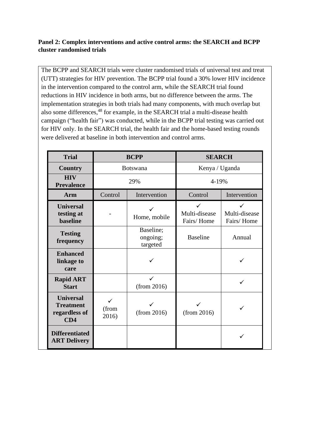# **Panel 2: Complex interventions and active control arms: the SEARCH and BCPP cluster randomised trials**

The BCPP and SEARCH trials were cluster randomised trials of universal test and treat (UTT) strategies for HIV prevention. The BCPP trial found a 30% lower HIV incidence in the intervention compared to the control arm, while the SEARCH trial found reductions in HIV incidence in both arms, but no difference between the arms. The implementation strategies in both trials had many components, with much overlap but also some differences,<sup>48</sup> for example, in the SEARCH trial a multi-disease health campaign ("health fair") was conducted, while in the BCPP trial testing was carried out for HIV only. In the SEARCH trial, the health fair and the home-based testing rounds were delivered at baseline in both intervention and control arms.

| <b>Trial</b>                                                 | <b>BCPP</b>         |                                   | <b>SEARCH</b>               |                             |
|--------------------------------------------------------------|---------------------|-----------------------------------|-----------------------------|-----------------------------|
| <b>Country</b>                                               | <b>Botswana</b>     |                                   | Kenya / Uganda              |                             |
| <b>HIV</b><br><b>Prevalence</b>                              | 29%                 |                                   | 4-19%                       |                             |
| Arm                                                          | Control             | Intervention                      | Control                     | Intervention                |
| <b>Universal</b><br>testing at<br><b>baseline</b>            |                     | ✓<br>Home, mobile                 | Multi-disease<br>Fairs/Home | Multi-disease<br>Fairs/Home |
| <b>Testing</b><br>frequency                                  |                     | Baseline;<br>ongoing;<br>targeted | <b>Baseline</b>             | Annual                      |
| <b>Enhanced</b><br>linkage to<br>care                        |                     |                                   |                             |                             |
| <b>Rapid ART</b><br><b>Start</b>                             |                     | (from 2016)                       |                             | ✓                           |
| <b>Universal</b><br><b>Treatment</b><br>regardless of<br>CD4 | ✓<br>(from<br>2016) | (from 2016)                       | (from 2016)                 | ✓                           |
| <b>Differentiated</b><br><b>ART Delivery</b>                 |                     |                                   |                             |                             |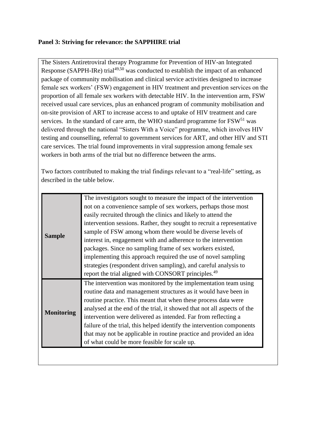## **Panel 3: Striving for relevance: the SAPPHIRE trial**

The Sisters Antiretroviral therapy Programme for Prevention of HIV-an Integrated Response (SAPPH-IRe) trial<sup>49,50</sup> was conducted to establish the impact of an enhanced package of community mobilisation and clinical service activities designed to increase female sex workers' (FSW) engagement in HIV treatment and prevention services on the proportion of all female sex workers with detectable HIV. In the intervention arm, FSW received usual care services, plus an enhanced program of community mobilisation and on-site provision of ART to increase access to and uptake of HIV treatment and care services. In the standard of care arm, the WHO standard programme for  $\text{FSW}^{51}$  was delivered through the national "Sisters With a Voice" programme, which involves HIV testing and counselling, referral to government services for ART, and other HIV and STI care services. The trial found improvements in viral suppression among female sex workers in both arms of the trial but no difference between the arms.

Two factors contributed to making the trial findings relevant to a "real-life" setting, as described in the table below.

| <b>Sample</b>     | The investigators sought to measure the impact of the intervention      |
|-------------------|-------------------------------------------------------------------------|
|                   | not on a convenience sample of sex workers, perhaps those most          |
|                   | easily recruited through the clinics and likely to attend the           |
|                   | intervention sessions. Rather, they sought to recruit a representative  |
|                   | sample of FSW among whom there would be diverse levels of               |
|                   | interest in, engagement with and adherence to the intervention          |
|                   | packages. Since no sampling frame of sex workers existed,               |
|                   | implementing this approach required the use of novel sampling           |
|                   | strategies (respondent driven sampling), and careful analysis to        |
|                   | report the trial aligned with CONSORT principles. <sup>49</sup>         |
| <b>Monitoring</b> | The intervention was monitored by the implementation team using         |
|                   | routine data and management structures as it would have been in         |
|                   | routine practice. This meant that when these process data were          |
|                   | analysed at the end of the trial, it showed that not all aspects of the |
|                   | intervention were delivered as intended. Far from reflecting a          |
|                   | failure of the trial, this helped identify the intervention components  |
|                   | that may not be applicable in routine practice and provided an idea     |
|                   | of what could be more feasible for scale up.                            |
|                   |                                                                         |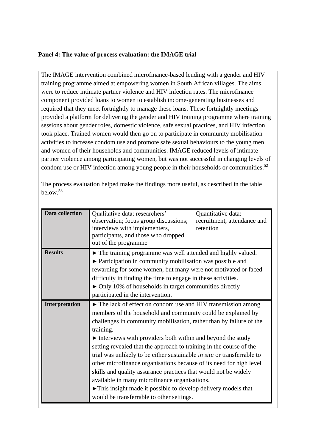## **Panel 4: The value of process evaluation: the IMAGE trial**

The IMAGE intervention combined microfinance-based lending with a gender and HIV training programme aimed at empowering women in South African villages. The aims were to reduce intimate partner violence and HIV infection rates. The microfinance component provided loans to women to establish income-generating businesses and required that they meet fortnightly to manage these loans. These fortnightly meetings provided a platform for delivering the gender and HIV training programme where training sessions about gender roles, domestic violence, safe sexual practices, and HIV infection took place. Trained women would then go on to participate in community mobilisation activities to increase condom use and promote safe sexual behaviours to the young men and women of their households and communities. IMAGE reduced levels of intimate partner violence among participating women, but was not successful in changing levels of condom use or HIV infection among young people in their households or communities. $52$ 

The process evaluation helped make the findings more useful, as described in the table below.<sup>53</sup>

| <b>Data collection</b> | Qualitative data: researchers'<br>observation; focus group discussions;<br>interviews with implementers,<br>participants, and those who dropped<br>out of the programme                                                                                                                                                                                                                                                                                                                                                                                                                                                                                                                                                                                        | Quantitative data:<br>recruitment, attendance and<br>retention |  |
|------------------------|----------------------------------------------------------------------------------------------------------------------------------------------------------------------------------------------------------------------------------------------------------------------------------------------------------------------------------------------------------------------------------------------------------------------------------------------------------------------------------------------------------------------------------------------------------------------------------------------------------------------------------------------------------------------------------------------------------------------------------------------------------------|----------------------------------------------------------------|--|
| <b>Results</b>         | • The training programme was well attended and highly valued.<br>▶ Participation in community mobilisation was possible and<br>rewarding for some women, but many were not motivated or faced<br>difficulty in finding the time to engage in these activities.<br>$\triangleright$ Only 10% of households in target communities directly<br>participated in the intervention.                                                                                                                                                                                                                                                                                                                                                                                  |                                                                |  |
| Interpretation         | The lack of effect on condom use and HIV transmission among<br>members of the household and community could be explained by<br>challenges in community mobilisation, rather than by failure of the<br>training.<br>Interviews with providers both within and beyond the study<br>setting revealed that the approach to training in the course of the<br>trial was unlikely to be either sustainable in situ or transferrable to<br>other microfinance organisations because of its need for high level<br>skills and quality assurance practices that would not be widely<br>available in many microfinance organisations.<br>$\blacktriangleright$ This insight made it possible to develop delivery models that<br>would be transferrable to other settings. |                                                                |  |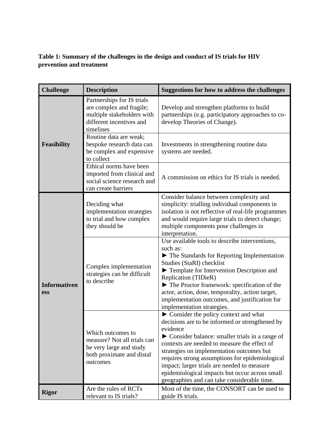# **Table 1: Summary of the challenges in the design and conduct of IS trials for HIV prevention and treatment**

| <b>Challenge</b>           | <b>Description</b>                                                                                                            | <b>Suggestions for how to address the challenges</b>                                                                                                                                                                                                                                                                                                                                                                                                                     |
|----------------------------|-------------------------------------------------------------------------------------------------------------------------------|--------------------------------------------------------------------------------------------------------------------------------------------------------------------------------------------------------------------------------------------------------------------------------------------------------------------------------------------------------------------------------------------------------------------------------------------------------------------------|
|                            | Partnerships for IS trials<br>are complex and fragile;<br>multiple stakeholders with<br>different incentives and<br>timelines | Develop and strengthen platforms to build<br>partnerships (e.g. participatory approaches to co-<br>develop Theories of Change).                                                                                                                                                                                                                                                                                                                                          |
| <b>Feasibility</b>         | Routine data are weak;<br>bespoke research data can<br>be complex and expensive<br>to collect                                 | Investments in strengthening routine data<br>systems are needed.                                                                                                                                                                                                                                                                                                                                                                                                         |
|                            | Ethical norms have been<br>imported from clinical and<br>social science research and<br>can create barriers                   | A commission on ethics for IS trials is needed.                                                                                                                                                                                                                                                                                                                                                                                                                          |
| <b>Informativen</b><br>ess | Deciding what<br>implementation strategies<br>to trial and how complex<br>they should be                                      | Consider balance between complexity and<br>simplicity: trialling individual components in<br>isolation is not reflective of real-life programmes<br>and would require large trials to detect change;<br>multiple components pose challenges in<br>interpretation.                                                                                                                                                                                                        |
|                            | Complex implementation<br>strategies can be difficult<br>to describe                                                          | Use available tools to describe interventions,<br>such as:<br>$\blacktriangleright$ The Standards for Reporting Implementation<br>Studies (StaRI) checklist<br>Template for Intervention Description and<br>Replication (TIDieR)<br>$\blacktriangleright$ The Proctor framework: specification of the<br>actor, action, dose, temporality, action target,<br>implementation outcomes, and justification for<br>implementation strategies.                                |
|                            | Which outcomes to<br>measure? Not all trials can<br>be very large and study<br>both proximate and distal<br>outcomes          | $\triangleright$ Consider the policy context and what<br>decisions are to be informed or strengthened by<br>evidence<br>• Consider balance: smaller trials in a range of<br>contexts are needed to measure the effect of<br>strategies on implementation outcomes but<br>requires strong assumptions for epidemiological<br>impact; larger trials are needed to measure<br>epidemiological impacts but occur across small<br>geographies and can take considerable time. |
| <b>Rigor</b>               | Are the rules of RCTs<br>relevant to IS trials?                                                                               | Most of the time, the CONSORT can be used to<br>guide IS trials.                                                                                                                                                                                                                                                                                                                                                                                                         |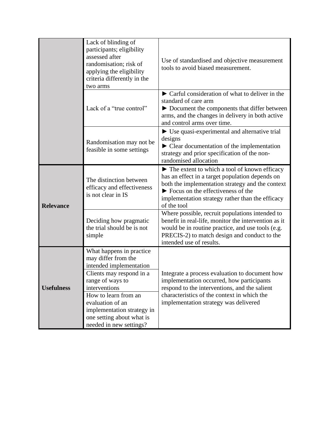|                   | Lack of blinding of<br>participants; eligibility<br>assessed after<br>randomisation; risk of<br>applying the eligibility<br>criteria differently in the<br>two arms                                                                                                           | Use of standardised and objective measurement<br>tools to avoid biased measurement.                                                                                                                                                                                          |
|-------------------|-------------------------------------------------------------------------------------------------------------------------------------------------------------------------------------------------------------------------------------------------------------------------------|------------------------------------------------------------------------------------------------------------------------------------------------------------------------------------------------------------------------------------------------------------------------------|
|                   | Lack of a "true control"                                                                                                                                                                                                                                                      | $\triangleright$ Carful consideration of what to deliver in the<br>standard of care arm<br>Document the components that differ between<br>arms, and the changes in delivery in both active<br>and control arms over time.                                                    |
|                   | Randomisation may not be<br>feasible in some settings                                                                                                                                                                                                                         | $\blacktriangleright$ Use quasi-experimental and alternative trial<br>designs<br>$\blacktriangleright$ Clear documentation of the implementation<br>strategy and prior specification of the non-<br>randomised allocation                                                    |
| <b>Relevance</b>  | The distinction between<br>efficacy and effectiveness<br>is not clear in IS                                                                                                                                                                                                   | The extent to which a tool of known efficacy<br>has an effect in a target population depends on<br>both the implementation strategy and the context<br>$\triangleright$ Focus on the effectiveness of the<br>implementation strategy rather than the efficacy<br>of the tool |
|                   | Deciding how pragmatic<br>the trial should be is not<br>simple                                                                                                                                                                                                                | Where possible, recruit populations intended to<br>benefit in real-life, monitor the intervention as it<br>would be in routine practice, and use tools (e.g.<br>PRECIS-2) to match design and conduct to the<br>intended use of results.                                     |
| <b>Usefulness</b> | What happens in practice<br>may differ from the<br>intended implementation<br>Clients may respond in a<br>range of ways to<br>interventions<br>How to learn from an<br>evaluation of an<br>implementation strategy in<br>one setting about what is<br>needed in new settings? | Integrate a process evaluation to document how<br>implementation occurred, how participants<br>respond to the interventions, and the salient<br>characteristics of the context in which the<br>implementation strategy was delivered                                         |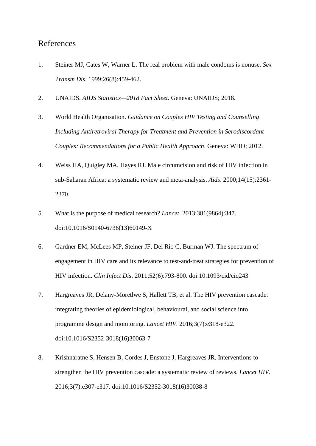# References

- 1. Steiner MJ, Cates W, Warner L. The real problem with male condoms is nonuse. *Sex Transm Dis*. 1999;26(8):459-462.
- 2. UNAIDS. *AIDS Statistics—2018 Fact Sheet*. Geneva: UNAIDS; 2018.
- 3. World Health Organisation. *Guidance on Couples HIV Testing and Counselling Including Antiretroviral Therapy for Treatment and Prevention in Serodiscordant Couples: Recommendations for a Public Health Approach*. Geneva: WHO; 2012.
- 4. Weiss HA, Quigley MA, Hayes RJ. Male circumcision and risk of HIV infection in sub-Saharan Africa: a systematic review and meta-analysis. *Aids*. 2000;14(15):2361- 2370.
- 5. What is the purpose of medical research? *Lancet*. 2013;381(9864):347. doi:10.1016/S0140-6736(13)60149-X
- 6. Gardner EM, McLees MP, Steiner JF, Del Rio C, Burman WJ. The spectrum of engagement in HIV care and its relevance to test-and-treat strategies for prevention of HIV infection. *Clin Infect Dis*. 2011;52(6):793-800. doi:10.1093/cid/ciq243
- 7. Hargreaves JR, Delany-Moretlwe S, Hallett TB, et al. The HIV prevention cascade: integrating theories of epidemiological, behavioural, and social science into programme design and monitoring. *Lancet HIV*. 2016;3(7):e318-e322. doi:10.1016/S2352-3018(16)30063-7
- 8. Krishnaratne S, Hensen B, Cordes J, Enstone J, Hargreaves JR. Interventions to strengthen the HIV prevention cascade: a systematic review of reviews. *Lancet HIV*. 2016;3(7):e307-e317. doi:10.1016/S2352-3018(16)30038-8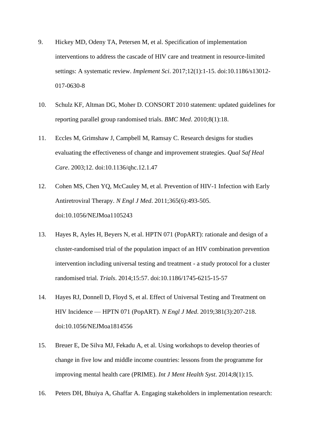- 9. Hickey MD, Odeny TA, Petersen M, et al. Specification of implementation interventions to address the cascade of HIV care and treatment in resource-limited settings: A systematic review. *Implement Sci*. 2017;12(1):1-15. doi:10.1186/s13012- 017-0630-8
- 10. Schulz KF, Altman DG, Moher D. CONSORT 2010 statement: updated guidelines for reporting parallel group randomised trials. *BMC Med*. 2010;8(1):18.
- 11. Eccles M, Grimshaw J, Campbell M, Ramsay C. Research designs for studies evaluating the effectiveness of change and improvement strategies. *Qual Saf Heal Care*. 2003;12. doi:10.1136/qhc.12.1.47
- 12. Cohen MS, Chen YQ, McCauley M, et al. Prevention of HIV-1 Infection with Early Antiretroviral Therapy. *N Engl J Med*. 2011;365(6):493-505. doi:10.1056/NEJMoa1105243
- 13. Hayes R, Ayles H, Beyers N, et al. HPTN 071 (PopART): rationale and design of a cluster-randomised trial of the population impact of an HIV combination prevention intervention including universal testing and treatment - a study protocol for a cluster randomised trial. *Trials*. 2014;15:57. doi:10.1186/1745-6215-15-57
- 14. Hayes RJ, Donnell D, Floyd S, et al. Effect of Universal Testing and Treatment on HIV Incidence — HPTN 071 (PopART). *N Engl J Med*. 2019;381(3):207-218. doi:10.1056/NEJMoa1814556
- 15. Breuer E, De Silva MJ, Fekadu A, et al. Using workshops to develop theories of change in five low and middle income countries: lessons from the programme for improving mental health care (PRIME). *Int J Ment Health Syst*. 2014;8(1):15.
- 16. Peters DH, Bhuiya A, Ghaffar A. Engaging stakeholders in implementation research: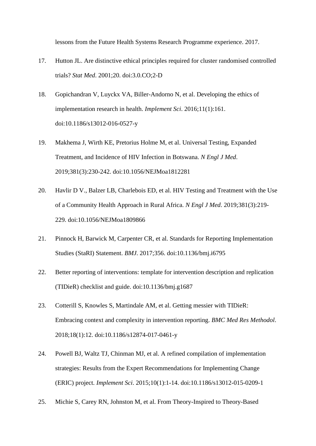lessons from the Future Health Systems Research Programme experience. 2017.

- 17. Hutton JL. Are distinctive ethical principles required for cluster randomised controlled trials? *Stat Med*. 2001;20. doi:3.0.CO;2-D
- 18. Gopichandran V, Luyckx VA, Biller-Andorno N, et al. Developing the ethics of implementation research in health. *Implement Sci*. 2016;11(1):161. doi:10.1186/s13012-016-0527-y
- 19. Makhema J, Wirth KE, Pretorius Holme M, et al. Universal Testing, Expanded Treatment, and Incidence of HIV Infection in Botswana. *N Engl J Med*. 2019;381(3):230-242. doi:10.1056/NEJMoa1812281
- 20. Havlir D V., Balzer LB, Charlebois ED, et al. HIV Testing and Treatment with the Use of a Community Health Approach in Rural Africa. *N Engl J Med*. 2019;381(3):219- 229. doi:10.1056/NEJMoa1809866
- 21. Pinnock H, Barwick M, Carpenter CR, et al. Standards for Reporting Implementation Studies (StaRI) Statement. *BMJ*. 2017;356. doi:10.1136/bmj.i6795
- 22. Better reporting of interventions: template for intervention description and replication (TIDieR) checklist and guide. doi:10.1136/bmj.g1687
- 23. Cotterill S, Knowles S, Martindale AM, et al. Getting messier with TIDieR: Embracing context and complexity in intervention reporting. *BMC Med Res Methodol*. 2018;18(1):12. doi:10.1186/s12874-017-0461-y
- 24. Powell BJ, Waltz TJ, Chinman MJ, et al. A refined compilation of implementation strategies: Results from the Expert Recommendations for Implementing Change (ERIC) project. *Implement Sci*. 2015;10(1):1-14. doi:10.1186/s13012-015-0209-1
- 25. Michie S, Carey RN, Johnston M, et al. From Theory-Inspired to Theory-Based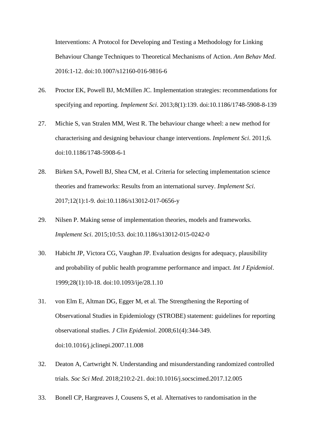Interventions: A Protocol for Developing and Testing a Methodology for Linking Behaviour Change Techniques to Theoretical Mechanisms of Action. *Ann Behav Med*. 2016:1-12. doi:10.1007/s12160-016-9816-6

- 26. Proctor EK, Powell BJ, McMillen JC. Implementation strategies: recommendations for specifying and reporting. *Implement Sci*. 2013;8(1):139. doi:10.1186/1748-5908-8-139
- 27. Michie S, van Stralen MM, West R. The behaviour change wheel: a new method for characterising and designing behaviour change interventions. *Implement Sci*. 2011;6. doi:10.1186/1748-5908-6-1
- 28. Birken SA, Powell BJ, Shea CM, et al. Criteria for selecting implementation science theories and frameworks: Results from an international survey. *Implement Sci*. 2017;12(1):1-9. doi:10.1186/s13012-017-0656-y
- 29. Nilsen P. Making sense of implementation theories, models and frameworks. *Implement Sci*. 2015;10:53. doi:10.1186/s13012-015-0242-0
- 30. Habicht JP, Victora CG, Vaughan JP. Evaluation designs for adequacy, plausibility and probability of public health programme performance and impact. *Int J Epidemiol*. 1999;28(1):10-18. doi:10.1093/ije/28.1.10
- 31. von Elm E, Altman DG, Egger M, et al. The Strengthening the Reporting of Observational Studies in Epidemiology (STROBE) statement: guidelines for reporting observational studies. *J Clin Epidemiol*. 2008;61(4):344-349. doi:10.1016/j.jclinepi.2007.11.008
- 32. Deaton A, Cartwright N. Understanding and misunderstanding randomized controlled trials. *Soc Sci Med*. 2018;210:2-21. doi:10.1016/j.socscimed.2017.12.005
- 33. Bonell CP, Hargreaves J, Cousens S, et al. Alternatives to randomisation in the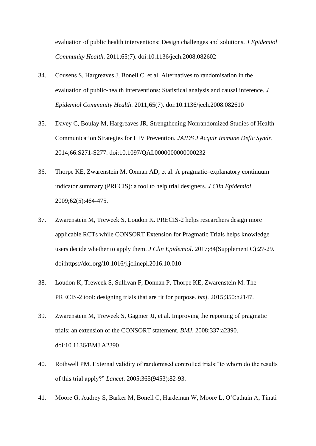evaluation of public health interventions: Design challenges and solutions. *J Epidemiol Community Health*. 2011;65(7). doi:10.1136/jech.2008.082602

- 34. Cousens S, Hargreaves J, Bonell C, et al. Alternatives to randomisation in the evaluation of public-health interventions: Statistical analysis and causal inference. *J Epidemiol Community Health*. 2011;65(7). doi:10.1136/jech.2008.082610
- 35. Davey C, Boulay M, Hargreaves JR. Strengthening Nonrandomized Studies of Health Communication Strategies for HIV Prevention. *JAIDS J Acquir Immune Defic Syndr*. 2014;66:S271-S277. doi:10.1097/QAI.0000000000000232
- 36. Thorpe KE, Zwarenstein M, Oxman AD, et al. A pragmatic–explanatory continuum indicator summary (PRECIS): a tool to help trial designers. *J Clin Epidemiol*. 2009;62(5):464-475.
- 37. Zwarenstein M, Treweek S, Loudon K. PRECIS-2 helps researchers design more applicable RCTs while CONSORT Extension for Pragmatic Trials helps knowledge users decide whether to apply them. *J Clin Epidemiol*. 2017;84(Supplement C):27-29. doi:https://doi.org/10.1016/j.jclinepi.2016.10.010
- 38. Loudon K, Treweek S, Sullivan F, Donnan P, Thorpe KE, Zwarenstein M. The PRECIS-2 tool: designing trials that are fit for purpose. *bmj*. 2015;350:h2147.
- 39. Zwarenstein M, Treweek S, Gagnier JJ, et al. Improving the reporting of pragmatic trials: an extension of the CONSORT statement. *BMJ*. 2008;337:a2390. doi:10.1136/BMJ.A2390
- 40. Rothwell PM. External validity of randomised controlled trials:"to whom do the results of this trial apply?" *Lancet*. 2005;365(9453):82-93.
- 41. Moore G, Audrey S, Barker M, Bonell C, Hardeman W, Moore L, O'Cathain A, Tinati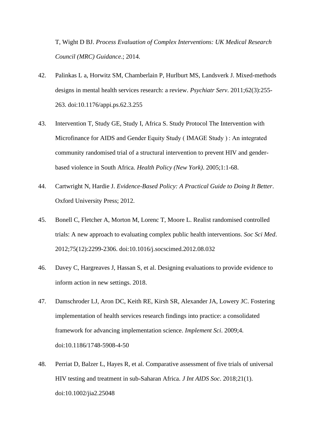T, Wight D BJ. *Process Evaluation of Complex Interventions: UK Medical Research Council (MRC) Guidance*.; 2014.

- 42. Palinkas L a, Horwitz SM, Chamberlain P, Hurlburt MS, Landsverk J. Mixed-methods designs in mental health services research: a review. *Psychiatr Serv*. 2011;62(3):255- 263. doi:10.1176/appi.ps.62.3.255
- 43. Intervention T, Study GE, Study I, Africa S. Study Protocol The Intervention with Microfinance for AIDS and Gender Equity Study ( IMAGE Study ) : An integrated community randomised trial of a structural intervention to prevent HIV and genderbased violence in South Africa. *Health Policy (New York)*. 2005;1:1-68.
- 44. Cartwright N, Hardie J. *Evidence-Based Policy: A Practical Guide to Doing It Better*. Oxford University Press; 2012.
- 45. Bonell C, Fletcher A, Morton M, Lorenc T, Moore L. Realist randomised controlled trials: A new approach to evaluating complex public health interventions. *Soc Sci Med*. 2012;75(12):2299-2306. doi:10.1016/j.socscimed.2012.08.032
- 46. Davey C, Hargreaves J, Hassan S, et al. Designing evaluations to provide evidence to inform action in new settings. 2018.
- 47. Damschroder LJ, Aron DC, Keith RE, Kirsh SR, Alexander JA, Lowery JC. Fostering implementation of health services research findings into practice: a consolidated framework for advancing implementation science. *Implement Sci*. 2009;4. doi:10.1186/1748-5908-4-50
- 48. Perriat D, Balzer L, Hayes R, et al. Comparative assessment of five trials of universal HIV testing and treatment in sub-Saharan Africa. *J Int AIDS Soc*. 2018;21(1). doi:10.1002/jia2.25048